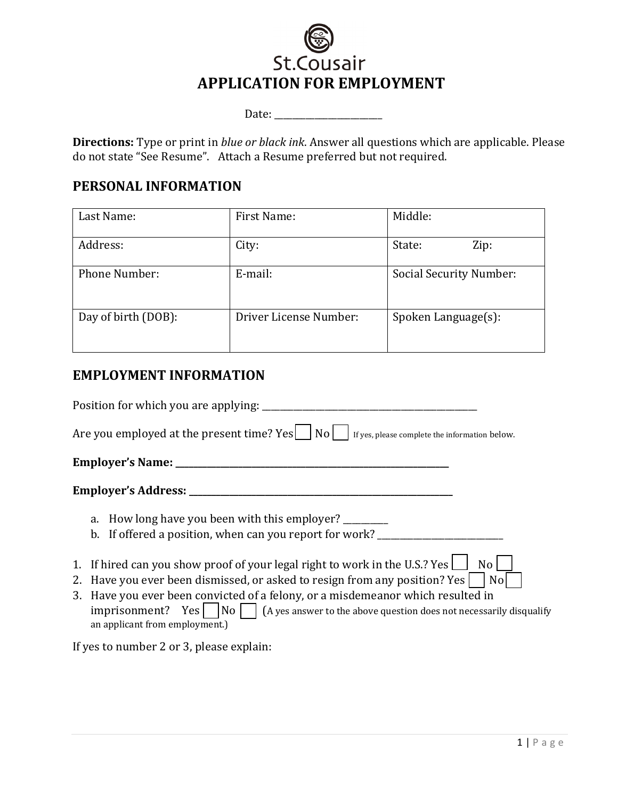

Date: \_\_\_\_\_\_\_\_\_\_\_\_\_\_\_\_\_\_\_\_\_\_\_\_

**Directions:** Type or print in *blue or black ink*. Answer all questions which are applicable. Please do not state "See Resume". Attach a Resume preferred but not required.

#### **PERSONAL INFORMATION**

| Last Name:           | First Name:            | Middle:                 |
|----------------------|------------------------|-------------------------|
| Address:             | City:                  | State:<br>Zip:          |
| <b>Phone Number:</b> | E-mail:                | Social Security Number: |
| Day of birth (DOB):  | Driver License Number: | Spoken Language(s):     |

## **EMPLOYMENT INFORMATION**

| Position for which you are applying: ______                                                                                                                                                                                                                                                                                                                                     |
|---------------------------------------------------------------------------------------------------------------------------------------------------------------------------------------------------------------------------------------------------------------------------------------------------------------------------------------------------------------------------------|
| Are you employed at the present time? $Yes$   No   $ $ If yes, please complete the information below.                                                                                                                                                                                                                                                                           |
|                                                                                                                                                                                                                                                                                                                                                                                 |
|                                                                                                                                                                                                                                                                                                                                                                                 |
| a. How long have you been with this employer?<br>b. If offered a position, when can you report for work?                                                                                                                                                                                                                                                                        |
| 1. If hired can you show proof of your legal right to work in the U.S.? Yes $\Box$<br>No l<br>2. Have you ever been dismissed, or asked to resign from any position? Yes<br>No l<br>3. Have you ever been convicted of a felony, or a misdemeanor which resulted in<br>imprisonment? Yes $ $ $ $ No $ $ $ $ (A yes answer to the above question does not necessarily disqualify |

If yes to number 2 or 3, please explain:

an applicant from employment.)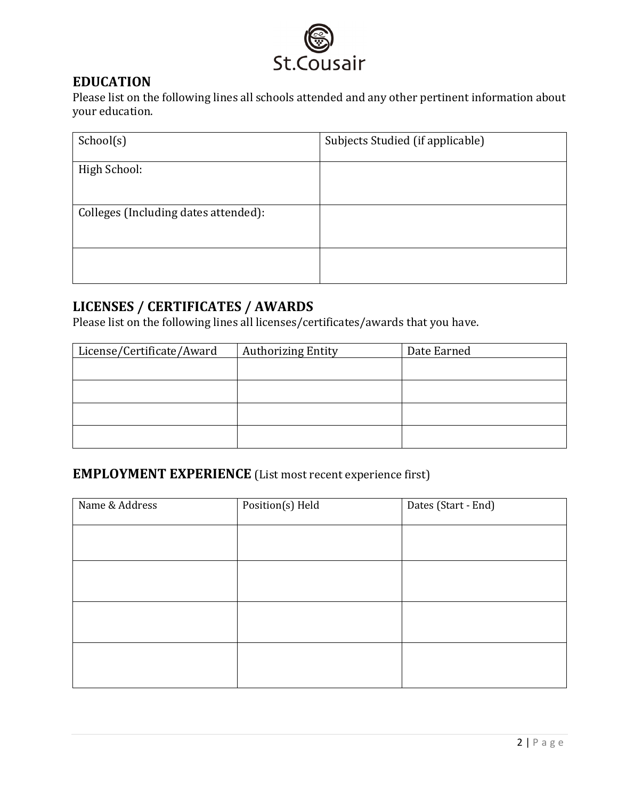

## **EDUCATION**

Please list on the following lines all schools attended and any other pertinent information about your education.

| School(s)                            | Subjects Studied (if applicable) |
|--------------------------------------|----------------------------------|
| High School:                         |                                  |
| Colleges (Including dates attended): |                                  |
|                                      |                                  |

# **LICENSES / CERTIFICATES / AWARDS**

Please list on the following lines all licenses/certificates/awards that you have.

| License/Certificate/Award | <b>Authorizing Entity</b> | Date Earned |
|---------------------------|---------------------------|-------------|
|                           |                           |             |
|                           |                           |             |
|                           |                           |             |
|                           |                           |             |
|                           |                           |             |

# **EMPLOYMENT EXPERIENCE** (List most recent experience first)

| Name & Address | Position(s) Held | Dates (Start - End) |
|----------------|------------------|---------------------|
|                |                  |                     |
|                |                  |                     |
|                |                  |                     |
|                |                  |                     |
|                |                  |                     |
|                |                  |                     |
|                |                  |                     |